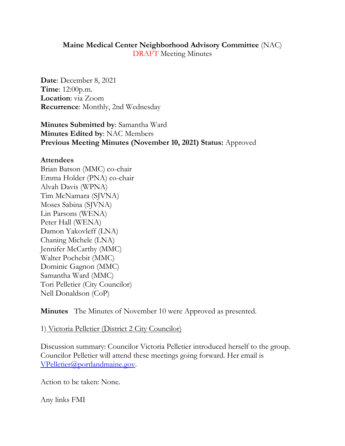#### **Maine Medical Center Neighborhood Advisory Committee** (NAC) DRAFT Meeting Minutes

**Date**: December 8, 2021 **Time**: 12:00p.m. **Location**: via Zoom **Recurrence**: Monthly, 2nd Wednesday

**Minutes Submitted by**: Samantha Ward **Minutes Edited by**: NAC Members **Previous Meeting Minutes (November 10, 2021) Status:** Approved

#### **Attendees**

Brian Batson (MMC) co-chair Emma Holder (PNA) co-chair Alvah Davis (WPNA) Tim McNamara (SJVNA) Moses Sabina (SJVNA) Lin Parsons (WENA) Peter Hall (WENA) Damon Yakovleff (LNA) Chaning Michele (LNA) Jennifer McCarthy (MMC) Walter Pochebit (MMC) Dominic Gagnon (MMC) Samantha Ward (MMC) Tori Pelletier (City Councilor) Nell Donaldson (CoP)

**Minutes** The Minutes of November 10 were Approved as presented.

1) Victoria Pelletier (District 2 City Councilor)

Discussion summary: Councilor Victoria Pelletier introduced herself to the group. Councilor Pelletier will attend these meetings going forward. Her email is [VPelletier@portlandmaine.gov.](mailto:VPelletier@portlandmaine.gov)

Action to be taken: None.

Any links FMI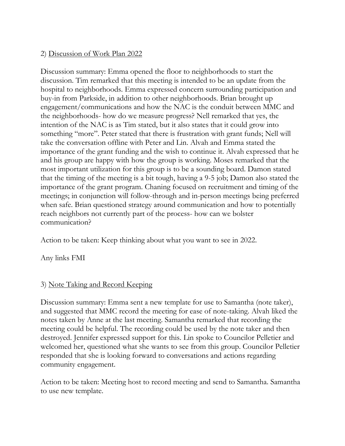## 2) Discussion of Work Plan 2022

Discussion summary: Emma opened the floor to neighborhoods to start the discussion. Tim remarked that this meeting is intended to be an update from the hospital to neighborhoods. Emma expressed concern surrounding participation and buy-in from Parkside, in addition to other neighborhoods. Brian brought up engagement/communications and how the NAC is the conduit between MMC and the neighborhoods- how do we measure progress? Nell remarked that yes, the intention of the NAC is as Tim stated, but it also states that it could grow into something "more". Peter stated that there is frustration with grant funds; Nell will take the conversation offline with Peter and Lin. Alvah and Emma stated the importance of the grant funding and the wish to continue it. Alvah expressed that he and his group are happy with how the group is working. Moses remarked that the most important utilization for this group is to be a sounding board. Damon stated that the timing of the meeting is a bit tough, having a 9-5 job; Damon also stated the importance of the grant program. Chaning focused on recruitment and timing of the meetings; in conjunction will follow-through and in-person meetings being preferred when safe. Brian questioned strategy around communication and how to potentially reach neighbors not currently part of the process- how can we bolster communication?

Action to be taken: Keep thinking about what you want to see in 2022.

Any links FMI

# 3) Note Taking and Record Keeping

Discussion summary: Emma sent a new template for use to Samantha (note taker), and suggested that MMC record the meeting for ease of note-taking. Alvah liked the notes taken by Anne at the last meeting. Samantha remarked that recording the meeting could be helpful. The recording could be used by the note taker and then destroyed. Jennifer expressed support for this. Lin spoke to Councilor Pelletier and welcomed her, questioned what she wants to see from this group. Councilor Pelletier responded that she is looking forward to conversations and actions regarding community engagement.

Action to be taken: Meeting host to record meeting and send to Samantha. Samantha to use new template.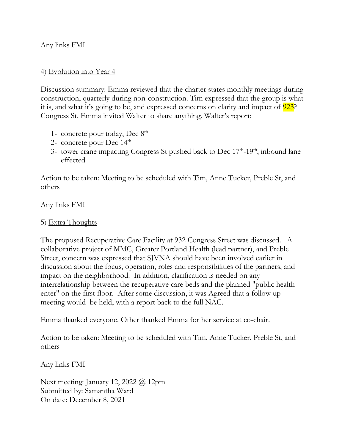Any links FMI

#### 4) Evolution into Year 4

Discussion summary: Emma reviewed that the charter states monthly meetings during construction, quarterly during non-construction. Tim expressed that the group is what it is, and what it's going to be, and expressed concerns on clarity and impact of  $\frac{923}{}$ ? Congress St. Emma invited Walter to share anything. Walter's report:

- 1- concrete pour today, Dec 8th
- 2- concrete pour Dec  $14<sup>th</sup>$
- 3- tower crane impacting Congress St pushed back to Dec 17<sup>th</sup>-19<sup>th</sup>, inbound lane effected

Action to be taken: Meeting to be scheduled with Tim, Anne Tucker, Preble St, and others

Any links FMI

### 5) Extra Thoughts

The proposed Recuperative Care Facility at 932 Congress Street was discussed. A collaborative project of MMC, Greater Portland Health (lead partner), and Preble Street, concern was expressed that SJVNA should have been involved earlier in discussion about the focus, operation, roles and responsibilities of the partners, and impact on the neighborhood. In addition, clarification is needed on any interrelationship between the recuperative care beds and the planned "public health enter" on the first floor. After some discussion, it was Agreed that a follow up meeting would be held, with a report back to the full NAC.

Emma thanked everyone. Other thanked Emma for her service at co-chair.

Action to be taken: Meeting to be scheduled with Tim, Anne Tucker, Preble St, and others

Any links FMI

Next meeting: January 12, 2022 @ 12pm Submitted by: Samantha Ward On date: December 8, 2021